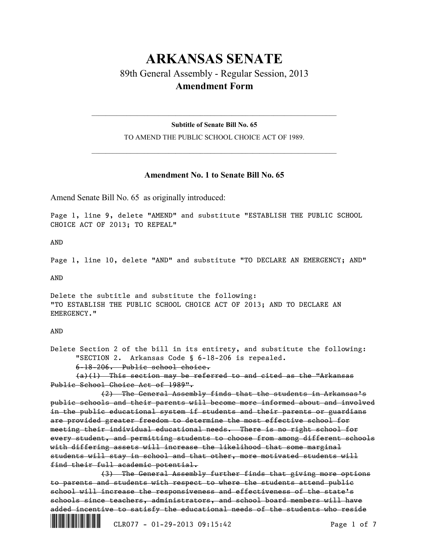## **ARKANSAS SENATE** 89th General Assembly - Regular Session, 2013 **Amendment Form**

**Subtitle of Senate Bill No. 65** TO AMEND THE PUBLIC SCHOOL CHOICE ACT OF 1989.

 $\mathcal{L}_\mathcal{L} = \mathcal{L}_\mathcal{L} = \mathcal{L}_\mathcal{L} = \mathcal{L}_\mathcal{L} = \mathcal{L}_\mathcal{L} = \mathcal{L}_\mathcal{L} = \mathcal{L}_\mathcal{L} = \mathcal{L}_\mathcal{L} = \mathcal{L}_\mathcal{L} = \mathcal{L}_\mathcal{L} = \mathcal{L}_\mathcal{L} = \mathcal{L}_\mathcal{L} = \mathcal{L}_\mathcal{L} = \mathcal{L}_\mathcal{L} = \mathcal{L}_\mathcal{L} = \mathcal{L}_\mathcal{L} = \mathcal{L}_\mathcal{L}$ 

 $\mathcal{L}_\mathcal{L} = \mathcal{L}_\mathcal{L} = \mathcal{L}_\mathcal{L} = \mathcal{L}_\mathcal{L} = \mathcal{L}_\mathcal{L} = \mathcal{L}_\mathcal{L} = \mathcal{L}_\mathcal{L} = \mathcal{L}_\mathcal{L} = \mathcal{L}_\mathcal{L} = \mathcal{L}_\mathcal{L} = \mathcal{L}_\mathcal{L} = \mathcal{L}_\mathcal{L} = \mathcal{L}_\mathcal{L} = \mathcal{L}_\mathcal{L} = \mathcal{L}_\mathcal{L} = \mathcal{L}_\mathcal{L} = \mathcal{L}_\mathcal{L}$ 

## **Amendment No. 1 to Senate Bill No. 65**

Amend Senate Bill No. 65 as originally introduced:

Page 1, line 9, delete "AMEND" and substitute "ESTABLISH THE PUBLIC SCHOOL CHOICE ACT OF 2013; TO REPEAL"

AND

Page 1, line 10, delete "AND" and substitute "TO DECLARE AN EMERGENCY; AND"

AND

Delete the subtitle and substitute the following: "TO ESTABLISH THE PUBLIC SCHOOL CHOICE ACT OF 2013; AND TO DECLARE AN EMERGENCY."

## AND

Delete Section 2 of the bill in its entirety, and substitute the following: "SECTION 2. Arkansas Code § 6-18-206 is repealed. 6-18-206. Public school choice.

(a)(1) This section may be referred to and cited as the "Arkansas Public School Choice Act of 1989".

(2) The General Assembly finds that the students in Arkansas's public schools and their parents will become more informed about and involved in the public educational system if students and their parents or guardians are provided greater freedom to determine the most effective school for meeting their individual educational needs. There is no right school for every student, and permitting students to choose from among different schools with differing assets will increase the likelihood that some marginal students will stay in school and that other, more motivated students will find their full academic potential.

(3) The General Assembly further finds that giving more options to parents and students with respect to where the students attend public school will increase the responsiveness and effectiveness of the state's schools since teachers, administrators, and school board members will have added incentive to satisfy the educational needs of the students who reside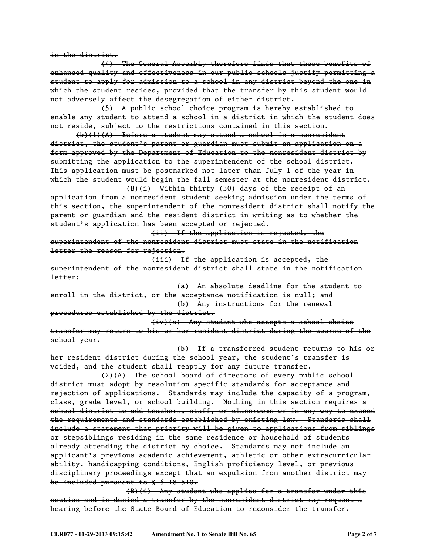in the district.

(4) The General Assembly therefore finds that these benefits of enhanced quality and effectiveness in our public schools justify permitting a student to apply for admission to a school in any district beyond the one in which the student resides, provided that the transfer by this student would not adversely affect the desegregation of either district.

(5) A public school choice program is hereby established to enable any student to attend a school in a district in which the student does not reside, subject to the restrictions contained in this section.

(b)(1)(A) Before a student may attend a school in a nonresident district, the student's parent or guardian must submit an application on a form approved by the Department of Education to the nonresident district by submitting the application to the superintendent of the school district. This application must be postmarked not later than July 1 of the year in which the student would begin the fall semester at the nonresident district. (B)(i) Within thirty (30) days of the receipt of an

application from a nonresident student seeking admission under the terms of this section, the superintendent of the nonresident district shall notify the parent or guardian and the resident district in writing as to whether the student's application has been accepted or rejected.

(ii) If the application is rejected, the superintendent of the nonresident district must state in the notification letter the reason for rejection.

(iii) If the application is accepted, the superintendent of the nonresident district shall state in the notification letter:

(a) An absolute deadline for the student to enroll in the district, or the acceptance notification is null; and (b) Any instructions for the renewal procedures established by the district.

(iv)(a) Any student who accepts a school choice transfer may return to his or her resident district during the course of the school year.

(b) If a transferred student returns to his or her resident district during the school year, the student's transfer is voided, and the student shall reapply for any future transfer.

(2)(A) The school board of directors of every public school district must adopt by resolution specific standards for acceptance and rejection of applications. Standards may include the capacity of a program, class, grade level, or school building. Nothing in this section requires a school district to add teachers, staff, or classrooms or in any way to exceed the requirements and standards established by existing law. Standards shall include a statement that priority will be given to applications from siblings or stepsiblings residing in the same residence or household of students already attending the district by choice. Standards may not include an applicant's previous academic achievement, athletic or other extracurricular ability, handicapping conditions, English proficiency level, or previous disciplinary proceedings except that an expulsion from another district may be included pursuant to § 6-18-510.

(B)(i) Any student who applies for a transfer under this section and is denied a transfer by the nonresident district may request a hearing before the State Board of Education to reconsider the transfer.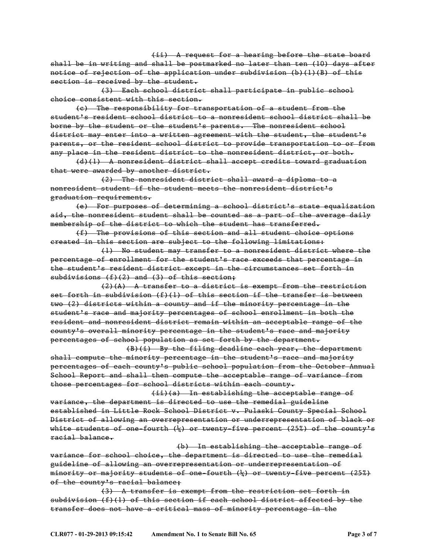(ii) A request for a hearing before the state board shall be in writing and shall be postmarked no later than ten (10) days after notice of rejection of the application under subdivision (b)(1)(B) of this section is received by the student.

(3) Each school district shall participate in public school choice consistent with this section.

(c) The responsibility for transportation of a student from the student's resident school district to a nonresident school district shall be borne by the student or the student's parents. The nonresident school district may enter into a written agreement with the student, the student's parents, or the resident school district to provide transportation to or from any place in the resident district to the nonresident district, or both.

(d)(1) A nonresident district shall accept credits toward graduation that were awarded by another district.

(2) The nonresident district shall award a diploma to a nonresident student if the student meets the nonresident district's graduation requirements.

(e) For purposes of determining a school district's state equalization aid, the nonresident student shall be counted as a part of the average daily membership of the district to which the student has transferred.

(f) The provisions of this section and all student choice options created in this section are subject to the following limitations:

(1) No student may transfer to a nonresident district where the percentage of enrollment for the student's race exceeds that percentage in the student's resident district except in the circumstances set forth in subdivisions (f)(2) and (3) of this section;

 $(2)$  $(A)$  A transfer to a district is exempt from the restriction set forth in subdivision (f)(1) of this section if the transfer is between two (2) districts within a county and if the minority percentage in the student's race and majority percentages of school enrollment in both the resident and nonresident district remain within an acceptable range of the county's overall minority percentage in the student's race and majority percentages of school population as set forth by the department.

(B)(i) By the filing deadline each year, the department shall compute the minority percentage in the student's race and majority percentages of each county's public school population from the October Annual School Report and shall then compute the acceptable range of variance from those percentages for school districts within each county.

(ii)(a) In establishing the acceptable range of variance, the department is directed to use the remedial guideline established in Little Rock School District v. Pulaski County Special School District of allowing an overrepresentation or underrepresentation of black or white students of one-fourth  $\frac{1}{2}$  or twenty-five percent (25%) of the county's racial balance.

(b) In establishing the acceptable range of variance for school choice, the department is directed to use the remedial guideline of allowing an overrepresentation or underrepresentation of minority or majority students of one-fourth  $(\frac{1}{4})$  or twenty-five percent (25%) of the county's racial balance;

(3) A transfer is exempt from the restriction set forth in subdivision (f)(1) of this section if each school district affected by the transfer does not have a critical mass of minority percentage in the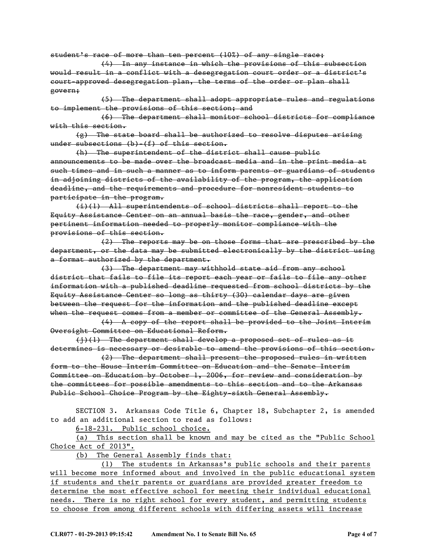student's race of more than ten percent (10%) of any single race;

(4) In any instance in which the provisions of this subsection would result in a conflict with a desegregation court order or a district's court-approved desegregation plan, the terms of the order or plan shall govern;

(5) The department shall adopt appropriate rules and regulations to implement the provisions of this section; and

(6) The department shall monitor school districts for compliance with this section.

(g) The state board shall be authorized to resolve disputes arising under subsections (b)-(f) of this section.

(h) The superintendent of the district shall cause public announcements to be made over the broadcast media and in the print media at such times and in such a manner as to inform parents or guardians of students in adjoining districts of the availability of the program, the application deadline, and the requirements and procedure for nonresident students to participate in the program.

(i)(1) All superintendents of school districts shall report to the Equity Assistance Center on an annual basis the race, gender, and other pertinent information needed to properly monitor compliance with the provisions of this section.

(2) The reports may be on those forms that are prescribed by the department, or the data may be submitted electronically by the district using a format authorized by the department.

(3) The department may withhold state aid from any school district that fails to file its report each year or fails to file any other information with a published deadline requested from school districts by the Equity Assistance Center so long as thirty (30) calendar days are given between the request for the information and the published deadline except when the request comes from a member or committee of the General Assembly.

(4) A copy of the report shall be provided to the Joint Interim Oversight Committee on Educational Reform.

(j)(1) The department shall develop a proposed set of rules as it determines is necessary or desirable to amend the provisions of this section.

(2) The department shall present the proposed rules in written form to the House Interim Committee on Education and the Senate Interim Committee on Education by October 1, 2006, for review and consideration by the committees for possible amendments to this section and to the Arkansas Public School Choice Program by the Eighty-sixth General Assembly.

SECTION 3. Arkansas Code Title 6, Chapter 18, Subchapter 2, is amended to add an additional section to read as follows:

6-18-231. Public school choice.

(a) This section shall be known and may be cited as the "Public School Choice Act of 2013".

(b) The General Assembly finds that:

(1) The students in Arkansas's public schools and their parents will become more informed about and involved in the public educational system if students and their parents or guardians are provided greater freedom to determine the most effective school for meeting their individual educational needs. There is no right school for every student, and permitting students to choose from among different schools with differing assets will increase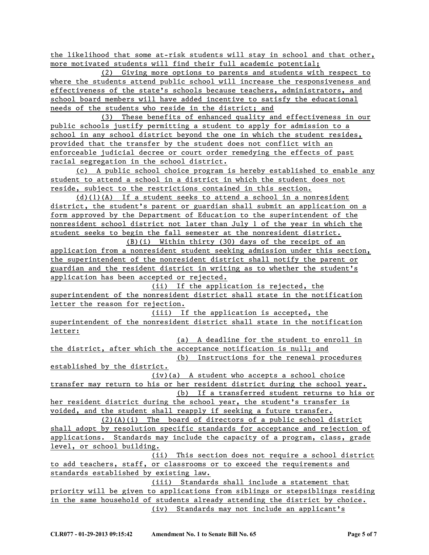the likelihood that some at-risk students will stay in school and that other, more motivated students will find their full academic potential;

(2) Giving more options to parents and students with respect to where the students attend public school will increase the responsiveness and effectiveness of the state's schools because teachers, administrators, and school board members will have added incentive to satisfy the educational needs of the students who reside in the district; and

(3) These benefits of enhanced quality and effectiveness in our public schools justify permitting a student to apply for admission to a school in any school district beyond the one in which the student resides, provided that the transfer by the student does not conflict with an enforceable judicial decree or court order remedying the effects of past racial segregation in the school district.

(c) A public school choice program is hereby established to enable any student to attend a school in a district in which the student does not reside, subject to the restrictions contained in this section.

 $(d)(1)(A)$  If a student seeks to attend a school in a nonresident district, the student's parent or guardian shall submit an application on a form approved by the Department of Education to the superintendent of the nonresident school district not later than July 1 of the year in which the student seeks to begin the fall semester at the nonresident district.

(B)(i) Within thirty (30) days of the receipt of an application from a nonresident student seeking admission under this section, the superintendent of the nonresident district shall notify the parent or guardian and the resident district in writing as to whether the student's application has been accepted or rejected.

(ii) If the application is rejected, the superintendent of the nonresident district shall state in the notification letter the reason for rejection.

(iii) If the application is accepted, the superintendent of the nonresident district shall state in the notification letter:

(a) A deadline for the student to enroll in the district, after which the acceptance notification is null; and (b) Instructions for the renewal procedures established by the district.

(iv)(a) A student who accepts a school choice transfer may return to his or her resident district during the school year. (b) If a transferred student returns to his or

her resident district during the school year, the student's transfer is voided, and the student shall reapply if seeking a future transfer.

(2)(A)(i) The board of directors of a public school district shall adopt by resolution specific standards for acceptance and rejection of applications. Standards may include the capacity of a program, class, grade level, or school building.

(ii) This section does not require a school district to add teachers, staff, or classrooms or to exceed the requirements and standards established by existing law.

(iii) Standards shall include a statement that priority will be given to applications from siblings or stepsiblings residing in the same household of students already attending the district by choice. (iv) Standards may not include an applicant's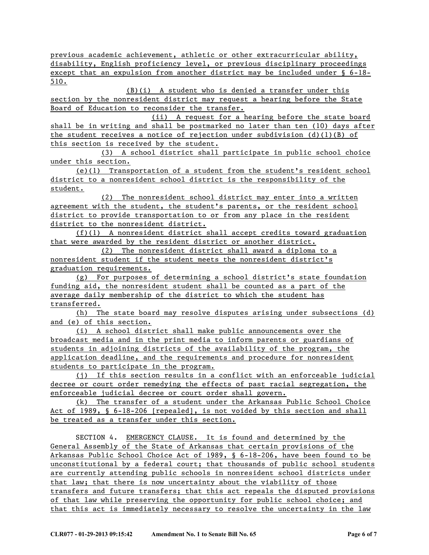previous academic achievement, athletic or other extracurricular ability, disability, English proficiency level, or previous disciplinary proceedings except that an expulsion from another district may be included under § 6-18- 510.

(B)(i) A student who is denied a transfer under this section by the nonresident district may request a hearing before the State Board of Education to reconsider the transfer.

(ii) A request for a hearing before the state board shall be in writing and shall be postmarked no later than ten (10) days after the student receives a notice of rejection under subdivision (d)(1)(B) of this section is received by the student.

(3) A school district shall participate in public school choice under this section.

(e)(1) Transportation of a student from the student's resident school district to a nonresident school district is the responsibility of the student.

(2) The nonresident school district may enter into a written agreement with the student, the student's parents, or the resident school district to provide transportation to or from any place in the resident district to the nonresident district.

(f)(1) A nonresident district shall accept credits toward graduation that were awarded by the resident district or another district.

(2) The nonresident district shall award a diploma to a nonresident student if the student meets the nonresident district's graduation requirements.

(g) For purposes of determining a school district's state foundation funding aid, the nonresident student shall be counted as a part of the average daily membership of the district to which the student has transferred.

(h) The state board may resolve disputes arising under subsections (d) and (e) of this section.

(i) A school district shall make public announcements over the broadcast media and in the print media to inform parents or guardians of students in adjoining districts of the availability of the program, the application deadline, and the requirements and procedure for nonresident students to participate in the program.

(j) If this section results in a conflict with an enforceable judicial decree or court order remedying the effects of past racial segregation, the enforceable judicial decree or court order shall govern.

(k) The transfer of a student under the Arkansas Public School Choice Act of 1989, § 6-18-206 [repealed], is not voided by this section and shall be treated as a transfer under this section.

SECTION 4. EMERGENCY CLAUSE. It is found and determined by the General Assembly of the State of Arkansas that certain provisions of the Arkansas Public School Choice Act of 1989, § 6-18-206, have been found to be unconstitutional by a federal court; that thousands of public school students are currently attending public schools in nonresident school districts under that law; that there is now uncertainty about the viability of those transfers and future transfers; that this act repeals the disputed provisions of that law while preserving the opportunity for public school choice; and that this act is immediately necessary to resolve the uncertainty in the law